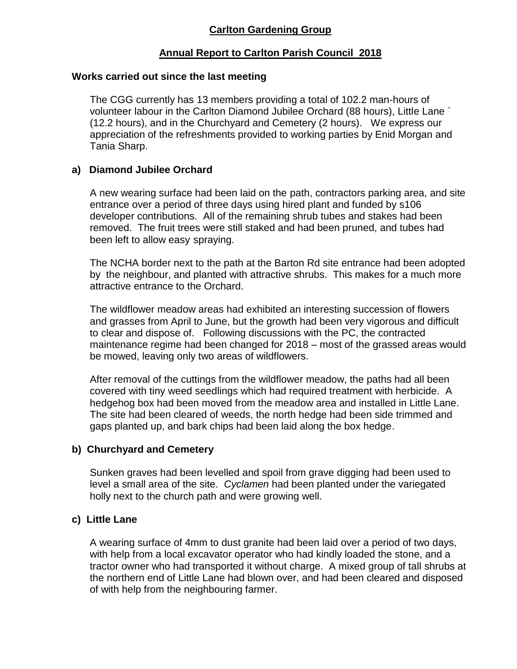## **Annual Report to Carlton Parish Council 2018**

#### **Works carried out since the last meeting**

The CGG currently has 13 members providing a total of 102.2 man-hours of volunteer labour in the Carlton Diamond Jubilee Orchard (88 hours), Little Lane ` (12.2 hours), and in the Churchyard and Cemetery (2 hours). We express our appreciation of the refreshments provided to working parties by Enid Morgan and Tania Sharp.

#### **a) Diamond Jubilee Orchard**

A new wearing surface had been laid on the path, contractors parking area, and site entrance over a period of three days using hired plant and funded by s106 developer contributions. All of the remaining shrub tubes and stakes had been removed. The fruit trees were still staked and had been pruned, and tubes had been left to allow easy spraying.

The NCHA border next to the path at the Barton Rd site entrance had been adopted by the neighbour, and planted with attractive shrubs. This makes for a much more attractive entrance to the Orchard.

The wildflower meadow areas had exhibited an interesting succession of flowers and grasses from April to June, but the growth had been very vigorous and difficult to clear and dispose of. Following discussions with the PC, the contracted maintenance regime had been changed for 2018 – most of the grassed areas would be mowed, leaving only two areas of wildflowers.

After removal of the cuttings from the wildflower meadow, the paths had all been covered with tiny weed seedlings which had required treatment with herbicide. A hedgehog box had been moved from the meadow area and installed in Little Lane. The site had been cleared of weeds, the north hedge had been side trimmed and gaps planted up, and bark chips had been laid along the box hedge.

#### **b) Churchyard and Cemetery**

Sunken graves had been levelled and spoil from grave digging had been used to level a small area of the site. *Cyclamen* had been planted under the variegated holly next to the church path and were growing well.

#### **c) Little Lane**

A wearing surface of 4mm to dust granite had been laid over a period of two days, with help from a local excavator operator who had kindly loaded the stone, and a tractor owner who had transported it without charge. A mixed group of tall shrubs at the northern end of Little Lane had blown over, and had been cleared and disposed of with help from the neighbouring farmer.